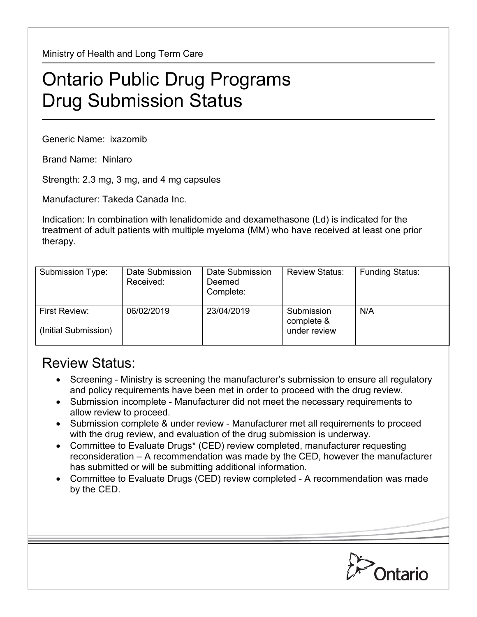Ministry of Health and Long Term Care

## Ontario Public Drug Programs Drug Submission Status

Generic Name: ixazomib

Brand Name: Ninlaro

Strength: 2.3 mg, 3 mg, and 4 mg capsules

Manufacturer: Takeda Canada Inc.

Indication: In combination with lenalidomide and dexamethasone (Ld) is indicated for the treatment of adult patients with multiple myeloma (MM) who have received at least one prior therapy.

| Submission Type:                             | Date Submission<br>Received: | Date Submission<br>Deemed<br>Complete: | <b>Review Status:</b>                    | <b>Funding Status:</b> |
|----------------------------------------------|------------------------------|----------------------------------------|------------------------------------------|------------------------|
| <b>First Review:</b><br>(Initial Submission) | 06/02/2019                   | 23/04/2019                             | Submission<br>complete &<br>under review | N/A                    |

## Review Status:

- Screening Ministry is screening the manufacturer's submission to ensure all regulatory and policy requirements have been met in order to proceed with the drug review.
- Submission incomplete Manufacturer did not meet the necessary requirements to allow review to proceed.
- Submission complete & under review Manufacturer met all requirements to proceed with the drug review, and evaluation of the drug submission is underway.
- Committee to Evaluate Drugs\* (CED) review completed, manufacturer requesting reconsideration – A recommendation was made by the CED, however the manufacturer has submitted or will be submitting additional information.
- Committee to Evaluate Drugs (CED) review completed A recommendation was made by the CED.